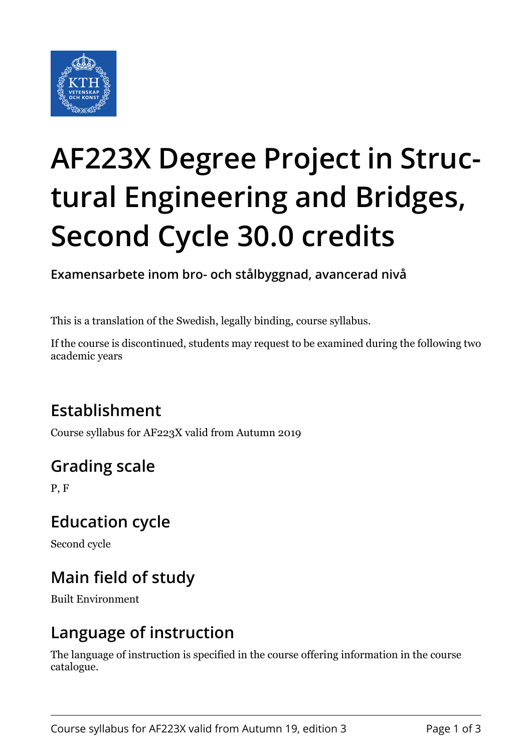

# **AF223X Degree Project in Structural Engineering and Bridges, Second Cycle 30.0 credits**

**Examensarbete inom bro- och stålbyggnad, avancerad nivå**

This is a translation of the Swedish, legally binding, course syllabus.

If the course is discontinued, students may request to be examined during the following two academic years

# **Establishment**

Course syllabus for AF223X valid from Autumn 2019

# **Grading scale**

P, F

#### **Education cycle**

Second cycle

# **Main field of study**

Built Environment

#### **Language of instruction**

The language of instruction is specified in the course offering information in the course catalogue.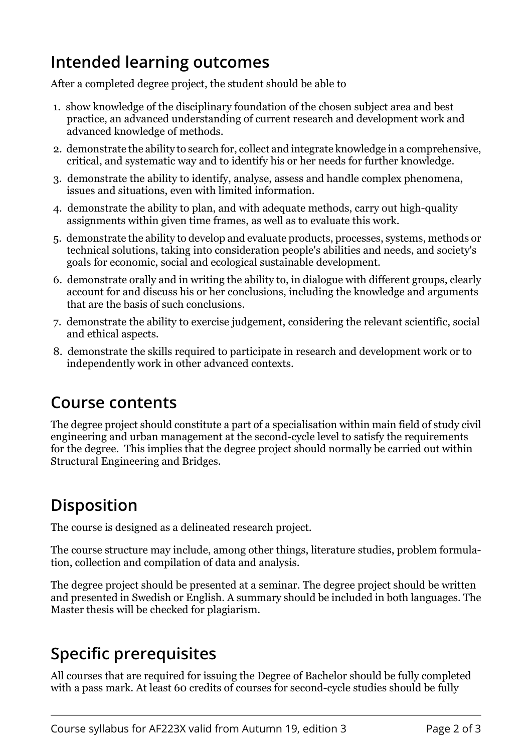### **Intended learning outcomes**

After a completed degree project, the student should be able to

- 1. show knowledge of the disciplinary foundation of the chosen subject area and best practice, an advanced understanding of current research and development work and advanced knowledge of methods.
- 2. demonstrate the ability to search for, collect and integrate knowledge in a comprehensive, critical, and systematic way and to identify his or her needs for further knowledge.
- 3. demonstrate the ability to identify, analyse, assess and handle complex phenomena, issues and situations, even with limited information.
- 4. demonstrate the ability to plan, and with adequate methods, carry out high-quality assignments within given time frames, as well as to evaluate this work.
- 5. demonstrate the ability to develop and evaluate products, processes, systems, methods or technical solutions, taking into consideration people's abilities and needs, and society's goals for economic, social and ecological sustainable development.
- 6. demonstrate orally and in writing the ability to, in dialogue with different groups, clearly account for and discuss his or her conclusions, including the knowledge and arguments that are the basis of such conclusions.
- 7. demonstrate the ability to exercise judgement, considering the relevant scientific, social and ethical aspects.
- 8. demonstrate the skills required to participate in research and development work or to independently work in other advanced contexts.

### **Course contents**

The degree project should constitute a part of a specialisation within main field of study civil engineering and urban management at the second-cycle level to satisfy the requirements for the degree. This implies that the degree project should normally be carried out within Structural Engineering and Bridges.

# **Disposition**

The course is designed as a delineated research project.

The course structure may include, among other things, literature studies, problem formulation, collection and compilation of data and analysis.

The degree project should be presented at a seminar. The degree project should be written and presented in Swedish or English. A summary should be included in both languages. The Master thesis will be checked for plagiarism.

# **Specific prerequisites**

All courses that are required for issuing the Degree of Bachelor should be fully completed with a pass mark. At least 60 credits of courses for second-cycle studies should be fully